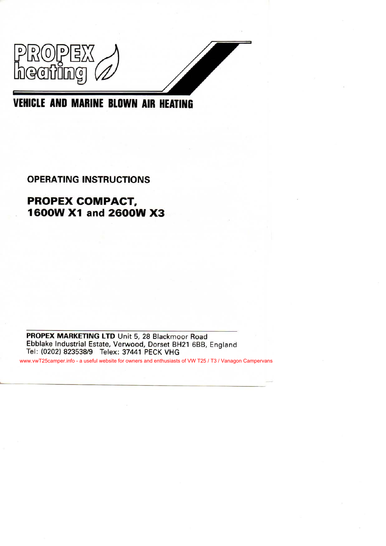

# **OPERATING INSTRUCTIONS**

# **PROPEX COMPACT, 1600W X1 and 2600W X3**

PROPEX MARKETING LTD Unit 5, 28 Blackmoor Road Ebblake Industrial Estate, Verwood, Dorset BH21 6BB, England Tel: (0202) 823538/9 Telex: 37441 PECK VHG

www.vwT25camper.info - a useful website for owners and enthusiasts of VW T25 / T3 / Vanagon Campervans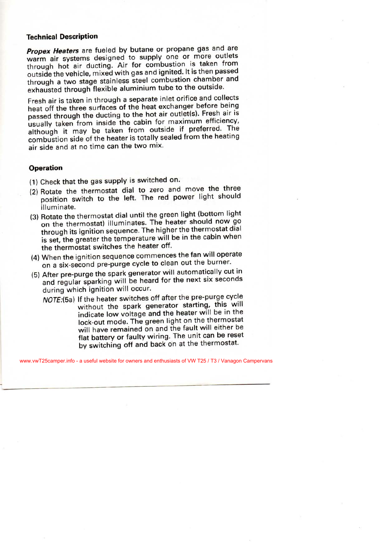#### **Technical Description**

*Propex Heaters* are fueled by butane or propane gas and are pex Heaters are fueled by butane or proparte gas and are warm air systems designed to supply one or more outlets<br>through hot air ducting. Air for combustion is taken from outside the vehicle, mixed with gas and ignited. It is then passed tside the vehicle, mixed with gas and ignited. It is then passed<br>that the vehicle contribution chamber and ough a two stage stainless steel compusion channel and

Fresh air is taken in through a separate inlet orifice and collects esh air is taken in through a separate met onmee and concern<br>exchanger before being heat off the three surfaces of the heat exchanger before being passed through the ducting to the hot air outlet(s). Fresh air is<br>usually taken from inside the cabin for maximum efficiency, ually taken from inside the capin for maximum emerging, hough it may be taken from outside if preferred. The combustion side of the heater is totally sealed from the heating<br>air side and at no time can the two mix.

#### **Operation**

- (1) Check that the gas supply is switched on.
- (2) CHECK that the gas supply to contenee on position is the thermostal dial to zero and move the threeposition switch to the left. The red power light should<br>illuminate.
- $\alpha$  rotation the thermostat dial until the green light (bottom light) otate the thermostat dial until the green nght (bottom ngm on the thermostat) illuminates. The heater should now go through its ignition sequence. The higher the thermostat dial rough its ignition sequence. The nigher the thermostation. set, the greater the temperature will be
- The intermostal switches the health commences the fan will operate hen the ignition sequence commences the rail will operate
- on a six-second pre-purge eyele to sisual current on a six-second pre-purge eyele to sisual cut in fter pre-purge the spark generator will automatically cut in and regular sparking will be heard for the next six seconds<br>during which ignition will occur.
	- *NOTE:(5a)* If the heater switches off after the pre-purge cycle the heater switches on after the pre-parge cycle ithout the spark generator starting, this will<br>interventions and the heater will be in the indicate low voltage and the heater will be in the<br>lock-out mode. The green light on the thermostat will have remained on and the fault will either be flat battery or faulty wiring. The unit can be reset by switching off and back on at the thermostat.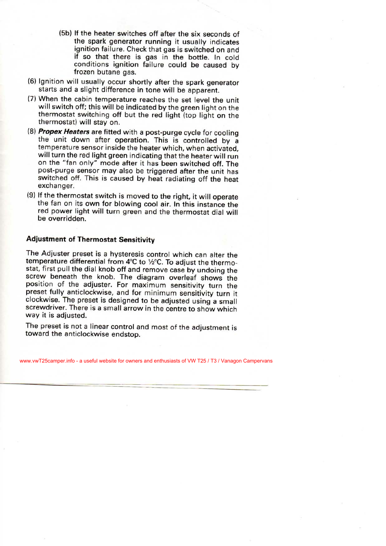- (5b) If the heater switches off after the six seconds of the spark generator running it usually indicates ignition failure. Check that gas is switched on and if so that there is gas in the bottle. In cold conditions ignition failure could be caused by frozen butane gas.
- (6) Ignition will usually occur shortly after the spark generator starts and a slight difference in tone will be apparent.
- (7) When the cabin temperature reaches the set level the unit will switch off; this will be indicated by the green light on the thermostat switching off but the red light (top light on the thermostat) will stay on.
- (8) *Propex Heaters* are fitted with a post-purge cycle for cooling the unit down after operation. This is controlled by a temperature sensor inside the heater which, when activated, will turn the red light green indicating that the heater will run on the "fan only" mode after it has been switched off. The post-purge sensor may also be triggered after the unit has switched off. This is caused by heat radiating off the heat exchanger.
- (9) If the thermostat switch is moved to the right, it will operate the fan on its own for blowing cool air. In this instance the red power light will turn green and the thermostat dial will be overridden.

# **Adjustment of Thermostat Sensitivity**

The Adjuster preset is a hysteresis control which can alter the temperature differential from 4°C to **1/2**°C. To adjust the thermostat, first pull the dial knob off and remove case by undoing the screw beneath the knob. The diagram overleaf shows the position of the adjuster. For maximum sensitivity turn the preset fully anticlockwise, and for minimum sensitivity turn it clockwise. The preset is designed to be adjusted using a small screwdriver. There is a small arrow in the centre to show which way it is adjusted.

The preset is not a linear control and most of the adjustment is toward the anticlockwise endstop.